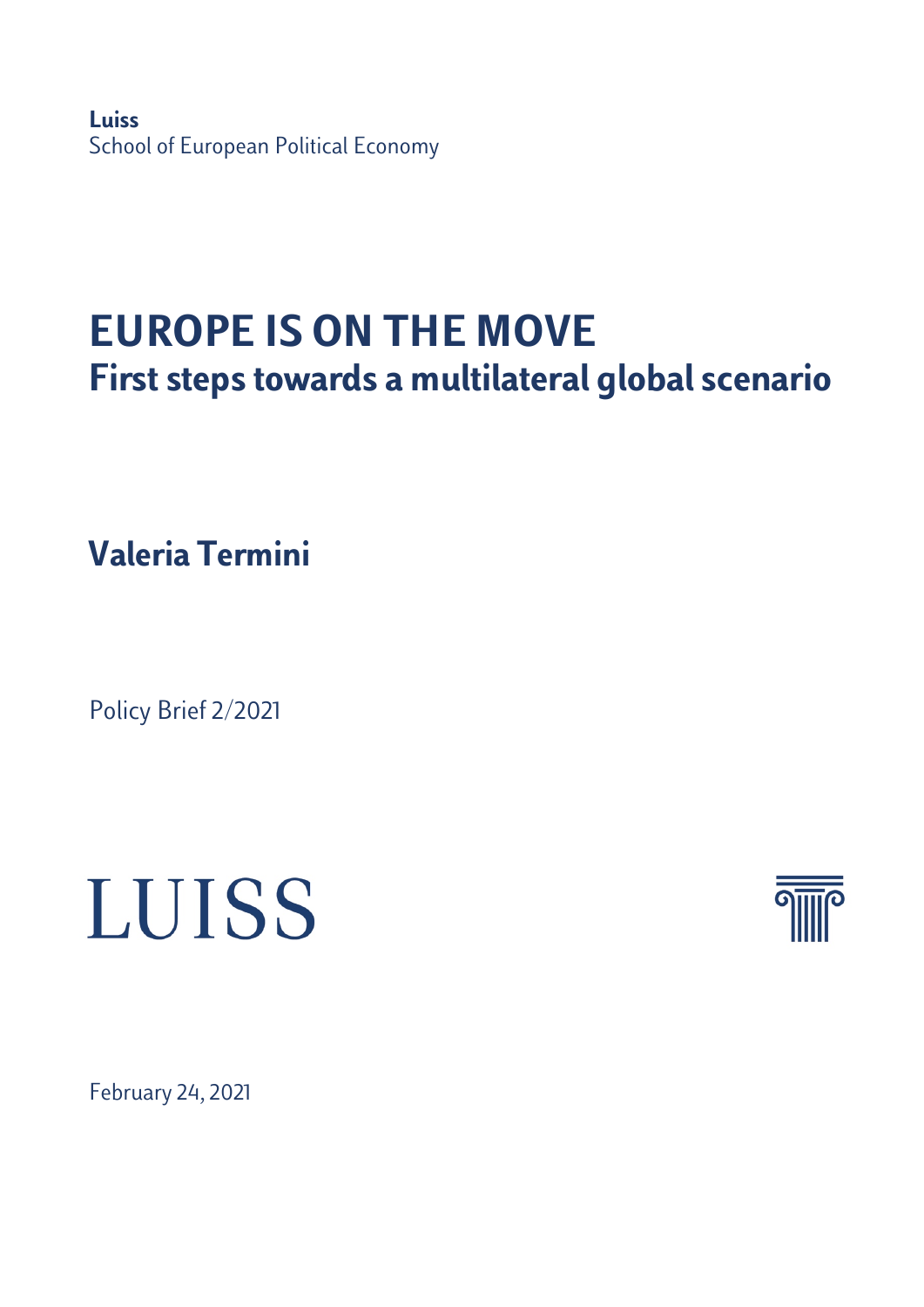**Luiss** School of European Political Economy

## **EUROPE IS ON THE MOVE First steps towards a multilateral global scenario**

**Valeria Termini**

Policy Brief 2/2021

# **LUISS**



February 24, 2021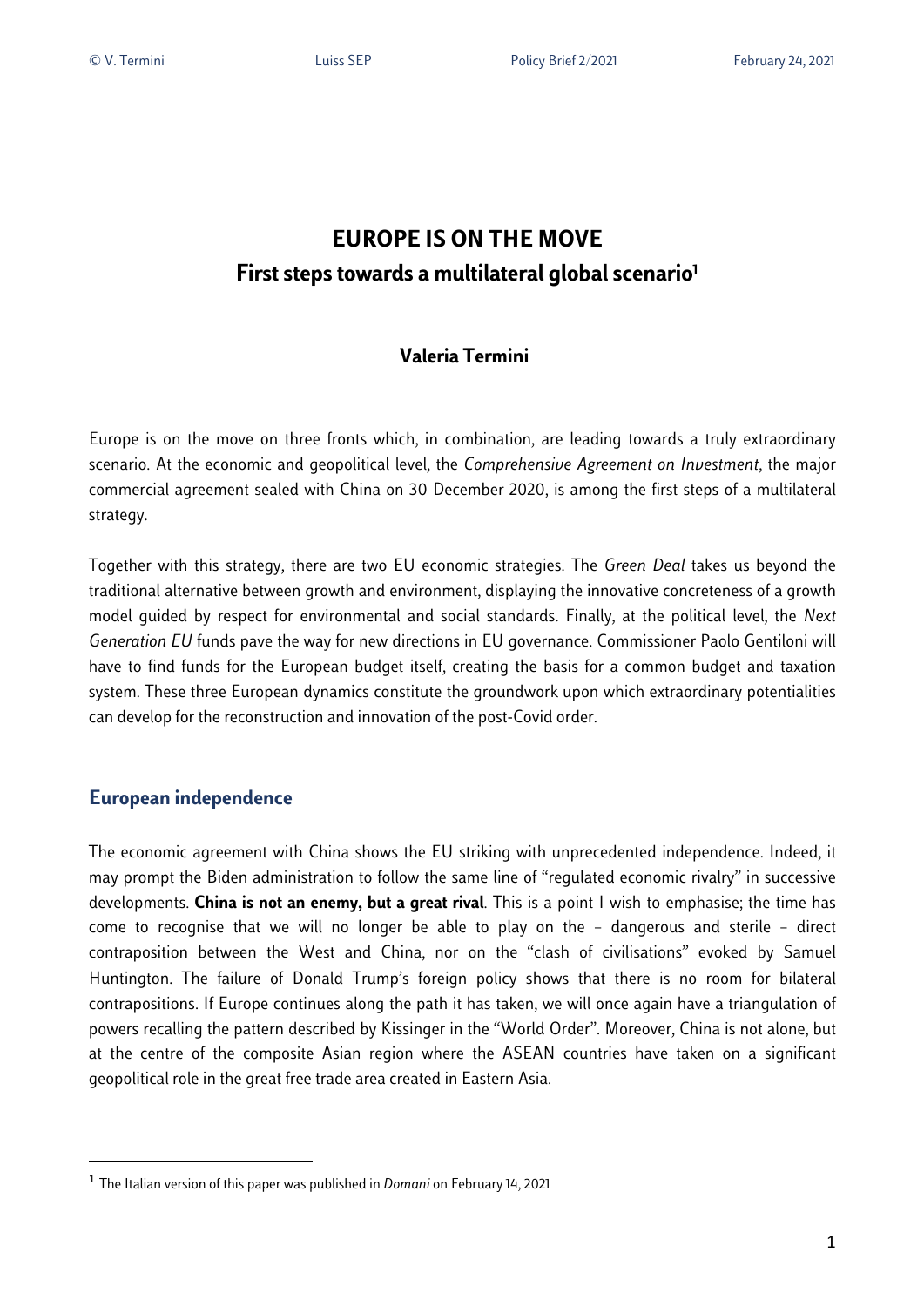### **EUROPE IS ON THE MOVE First steps towards a multilateral global scenario1**

#### **Valeria Termini**

Europe is on the move on three fronts which, in combination, are leading towards a truly extraordinary scenario. At the economic and geopolitical level, the *Comprehensive Agreement on Investment*, the major commercial agreement sealed with China on 30 December 2020, is among the first steps of a multilateral strategy.

Together with this strategy, there are two EU economic strategies. The *Green Deal* takes us beyond the traditional alternative between growth and environment, displaying the innovative concreteness of a growth model guided by respect for environmental and social standards. Finally, at the political level, the *Next Generation EU* funds pave the way for new directions in EU governance. Commissioner Paolo Gentiloni will have to find funds for the European budget itself, creating the basis for a common budget and taxation system. These three European dynamics constitute the groundwork upon which extraordinary potentialities can develop for the reconstruction and innovation of the post-Covid order.

#### **European independence**

The economic agreement with China shows the EU striking with unprecedented independence. Indeed, it may prompt the Biden administration to follow the same line of "regulated economic rivalry" in successive developments. **China is not an enemy, but a great rival**. This is a point I wish to emphasise; the time has come to recognise that we will no longer be able to play on the – dangerous and sterile – direct contraposition between the West and China, nor on the "clash of civilisations" evoked by Samuel Huntington. The failure of Donald Trump's foreign policy shows that there is no room for bilateral contrapositions. If Europe continues along the path it has taken, we will once again have a triangulation of powers recalling the pattern described by Kissinger in the "World Order". Moreover, China is not alone, but at the centre of the composite Asian region where the ASEAN countries have taken on a significant geopolitical role in the great free trade area created in Eastern Asia.

<sup>1</sup> The Italian version of this paper was published in *Domani* on February 14, 2021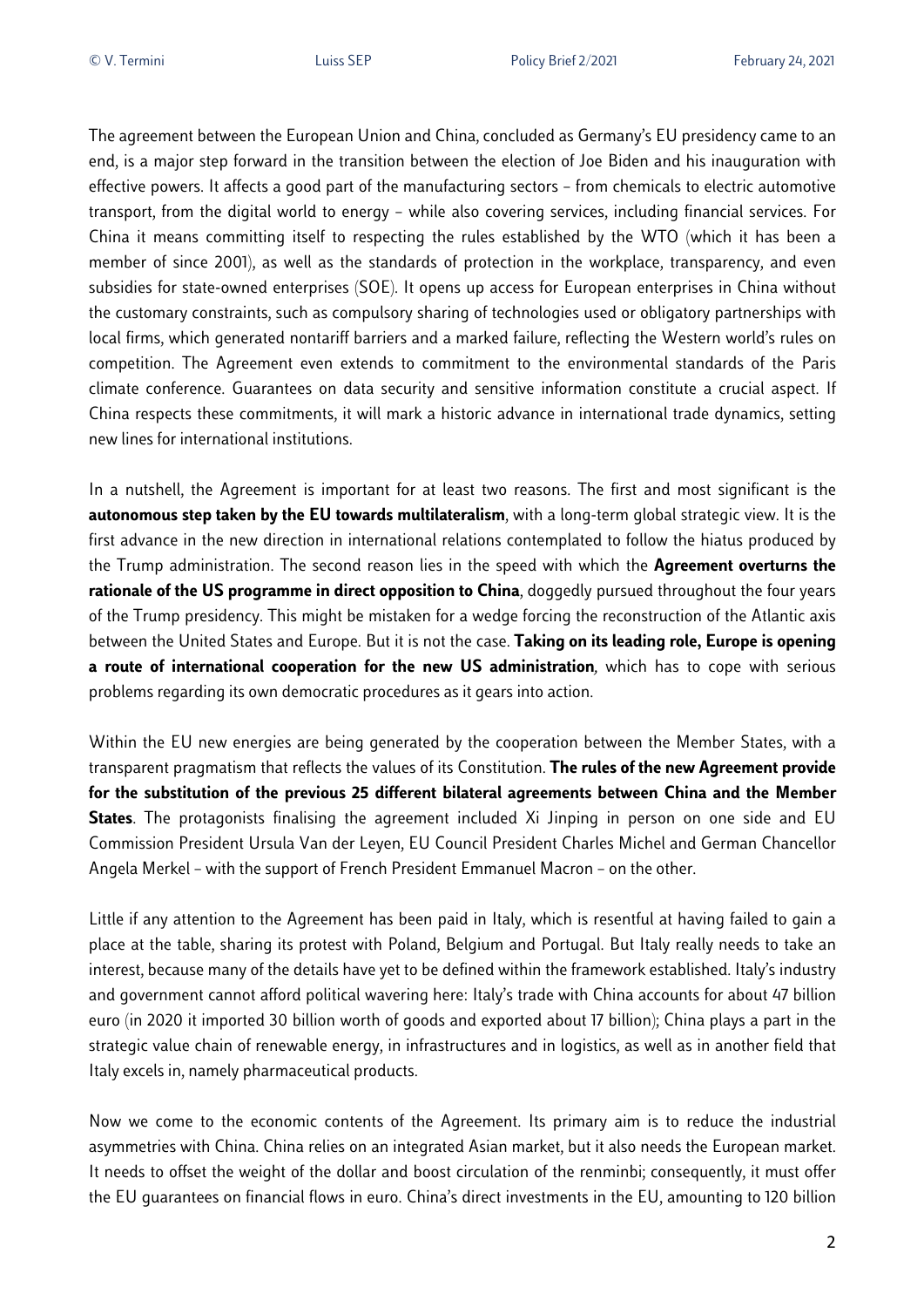The agreement between the European Union and China, concluded as Germany's EU presidency came to an end, is a major step forward in the transition between the election of Joe Biden and his inauguration with effective powers. It affects a good part of the manufacturing sectors – from chemicals to electric automotive transport, from the digital world to energy – while also covering services, including financial services. For China it means committing itself to respecting the rules established by the WTO (which it has been a member of since 2001), as well as the standards of protection in the workplace, transparency, and even subsidies for state-owned enterprises (SOE). It opens up access for European enterprises in China without the customary constraints, such as compulsory sharing of technologies used or obligatory partnerships with local firms, which generated nontariff barriers and a marked failure, reflecting the Western world's rules on competition. The Agreement even extends to commitment to the environmental standards of the Paris climate conference. Guarantees on data security and sensitive information constitute a crucial aspect. If China respects these commitments, it will mark a historic advance in international trade dynamics, setting new lines for international institutions.

In a nutshell, the Agreement is important for at least two reasons. The first and most significant is the **autonomous step taken by the EU towards multilateralism**, with a long-term global strategic view. It is the first advance in the new direction in international relations contemplated to follow the hiatus produced by the Trump administration. The second reason lies in the speed with which the **Agreement overturns the rationale of the US programme in direct opposition to China**, doggedly pursued throughout the four years of the Trump presidency. This might be mistaken for a wedge forcing the reconstruction of the Atlantic axis between the United States and Europe. But it is not the case. **Taking on its leading role, Europe is opening a route of international cooperation for the new US administration***,* which has to cope with serious problems regarding its own democratic procedures as it gears into action.

Within the EU new energies are being generated by the cooperation between the Member States, with a transparent pragmatism that reflects the values of its Constitution. **The rules of the new Agreement provide for the substitution of the previous 25 different bilateral agreements between China and the Member States**. The protagonists finalising the agreement included Xi Jinping in person on one side and EU Commission President Ursula Van der Leyen, EU Council President Charles Michel and German Chancellor Angela Merkel – with the support of French President Emmanuel Macron – on the other.

Little if any attention to the Agreement has been paid in Italy, which is resentful at having failed to gain a place at the table, sharing its protest with Poland, Belgium and Portugal. But Italy really needs to take an interest, because many of the details have yet to be defined within the framework established. Italy's industry and government cannot afford political wavering here: Italy's trade with China accounts for about 47 billion euro (in 2020 it imported 30 billion worth of goods and exported about 17 billion); China plays a part in the strategic value chain of renewable energy, in infrastructures and in logistics, as well as in another field that Italy excels in, namely pharmaceutical products.

Now we come to the economic contents of the Agreement. Its primary aim is to reduce the industrial asymmetries with China. China relies on an integrated Asian market, but it also needs the European market. It needs to offset the weight of the dollar and boost circulation of the renminbi; consequently, it must offer the EU guarantees on financial flows in euro. China's direct investments in the EU, amounting to 120 billion